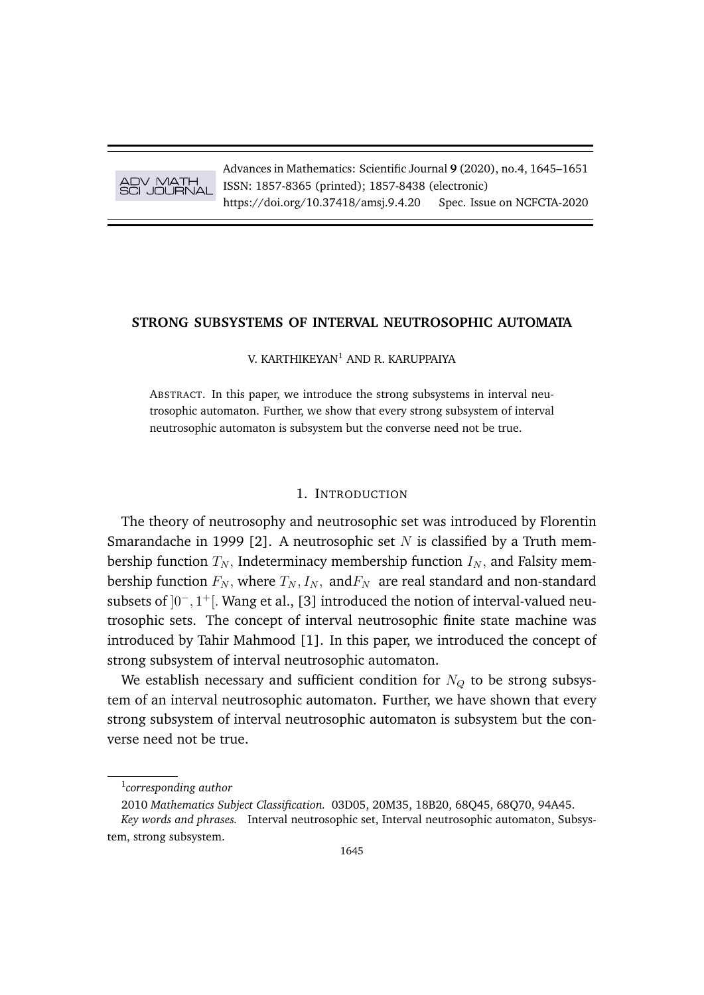

Advances in Mathematics: Scientific Journal **9** (2020), no.4, 1645–1651 ISSN: 1857-8365 (printed); 1857-8438 (electronic) https://doi.org/10.37418/amsj.9.4.20 Spec. Issue on NCFCTA-2020

# **STRONG SUBSYSTEMS OF INTERVAL NEUTROSOPHIC AUTOMATA**

V. KARTHIKEYAN<sup>1</sup> AND R. KARUPPAIYA

ABSTRACT. In this paper, we introduce the strong subsystems in interval neutrosophic automaton. Further, we show that every strong subsystem of interval neutrosophic automaton is subsystem but the converse need not be true.

# 1. INTRODUCTION

The theory of neutrosophy and neutrosophic set was introduced by Florentin Smarandache in 1999 [2]. A neutrosophic set N is classified by a Truth membership function  $T_N$ , Indeterminacy membership function  $I_N$ , and Falsity membership function  $F_N$ , where  $T_N$ ,  $I_N$ , and  $F_N$  are real standard and non-standard subsets of  $]0^-, 1^+[$ . Wang et al., [3] introduced the notion of interval-valued neutrosophic sets. The concept of interval neutrosophic finite state machine was introduced by Tahir Mahmood [1]. In this paper, we introduced the concept of strong subsystem of interval neutrosophic automaton.

We establish necessary and sufficient condition for  $N<sub>O</sub>$  to be strong subsystem of an interval neutrosophic automaton. Further, we have shown that every strong subsystem of interval neutrosophic automaton is subsystem but the converse need not be true.

<sup>1</sup> *corresponding author*

<sup>2010</sup> *Mathematics Subject Classification.* 03D05, 20M35, 18B20, 68Q45, 68Q70, 94A45. *Key words and phrases.* Interval neutrosophic set, Interval neutrosophic automaton, Subsystem, strong subsystem.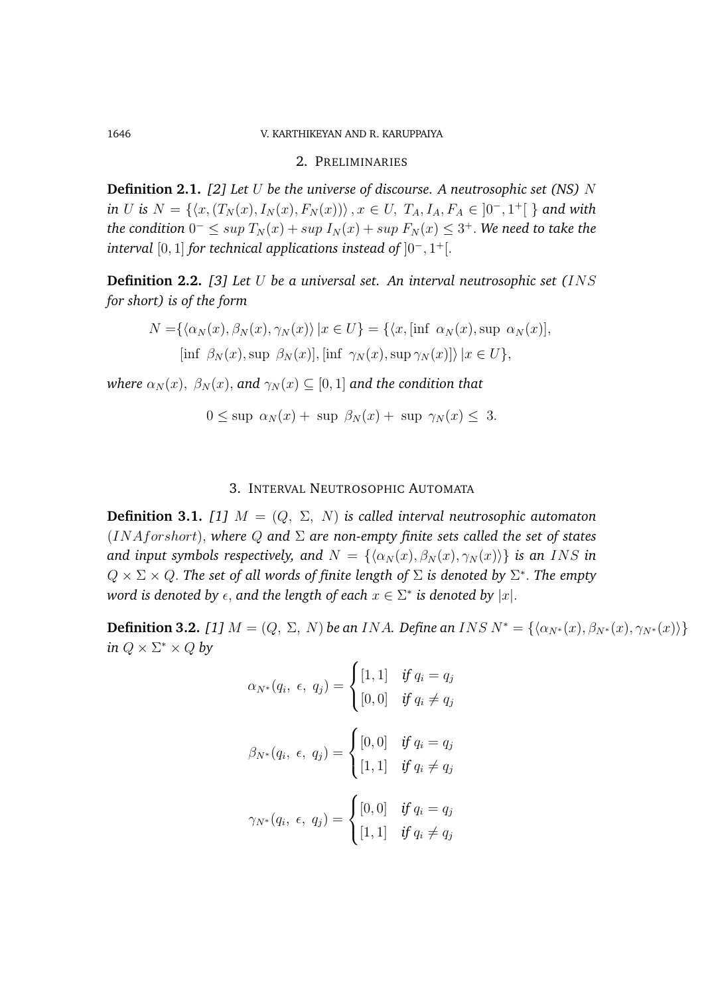## 1646 V. KARTHIKEYAN AND R. KARUPPAIYA

#### 2. PRELIMINARIES

**Definition 2.1.** *[2] Let* U *be the universe of discourse. A neutrosophic set (NS)* N *in U is*  $N = \{ (x, (T_N(x), I_N(x), F_N(x))) \}, x \in U, T_A, I_A, F_A \in ]0^-, 1^+] \}$  and with  $\Delta t$ he condition  $0^- \leq \sup T_N(x) + \sup I_N(x) + \sup F_N(x) \leq 3^+.$  We need to take the *interval* [0, 1] *for technical applications instead of* ]0<sup>−</sup>, 1 <sup>+</sup>[.

**Definition 2.2.** *[3] Let* U *be a universal set. An interval neutrosophic set (*INS *for short) is of the form*

$$
N = \{ \langle \alpha_N(x), \beta_N(x), \gamma_N(x) \rangle \mid x \in U \} = \{ \langle x, [\inf \alpha_N(x), \sup \alpha_N(x)],
$$
  
[inf  $\beta_N(x), \sup \beta_N(x)]$ , [inf  $\gamma_N(x), \sup \gamma_N(x)] \rangle \mid x \in U \},\$ 

*where*  $\alpha_N(x)$ ,  $\beta_N(x)$ , and  $\gamma_N(x) \subseteq [0,1]$  and the condition that

$$
0 \le \sup \alpha_N(x) + \sup \beta_N(x) + \sup \gamma_N(x) \le 3.
$$

# 3. INTERVAL NEUTROSOPHIC AUTOMATA

**Definition 3.1.** [1]  $M = (Q, \Sigma, N)$  *is called interval neutrosophic automaton* (INAforshort), *where* Q *and* Σ *are non-empty finite sets called the set of states and input symbols respectively, and*  $N = {\alpha_N(x), \beta_N(x), \gamma_N(x)}$  *is an INS in*  $Q \times \Sigma \times Q$ . The set of all words of finite length of  $\Sigma$  is denoted by  $\Sigma^*$ . The empty  $w$ ord is denoted by  $\epsilon$ , and the length of each  $x\in \Sigma^*$  is denoted by  $|x|.$ 

**Definition 3.2.** *[1]*  $M = (Q, \Sigma, N)$  *be an INA. Define an INS*  $N^* = \{\langle \alpha_{N^*}(x), \beta_{N^*}(x), \gamma_{N^*}(x) \rangle\}$ *in*  $Q \times \Sigma^* \times Q$  *by* 

$$
\alpha_{N^*}(q_i, \epsilon, q_j) = \begin{cases} [1, 1] & \text{if } q_i = q_j \\ [0, 0] & \text{if } q_i \neq q_j \end{cases}
$$

$$
\beta_{N^*}(q_i, \epsilon, q_j) = \begin{cases} [0, 0] & \text{if } q_i = q_j \\ [1, 1] & \text{if } q_i \neq q_j \end{cases}
$$

$$
\gamma_{N^*}(q_i, \epsilon, q_j) = \begin{cases} [0, 0] & \text{if } q_i = q_j \\ [1, 1] & \text{if } q_i \neq q_j \end{cases}
$$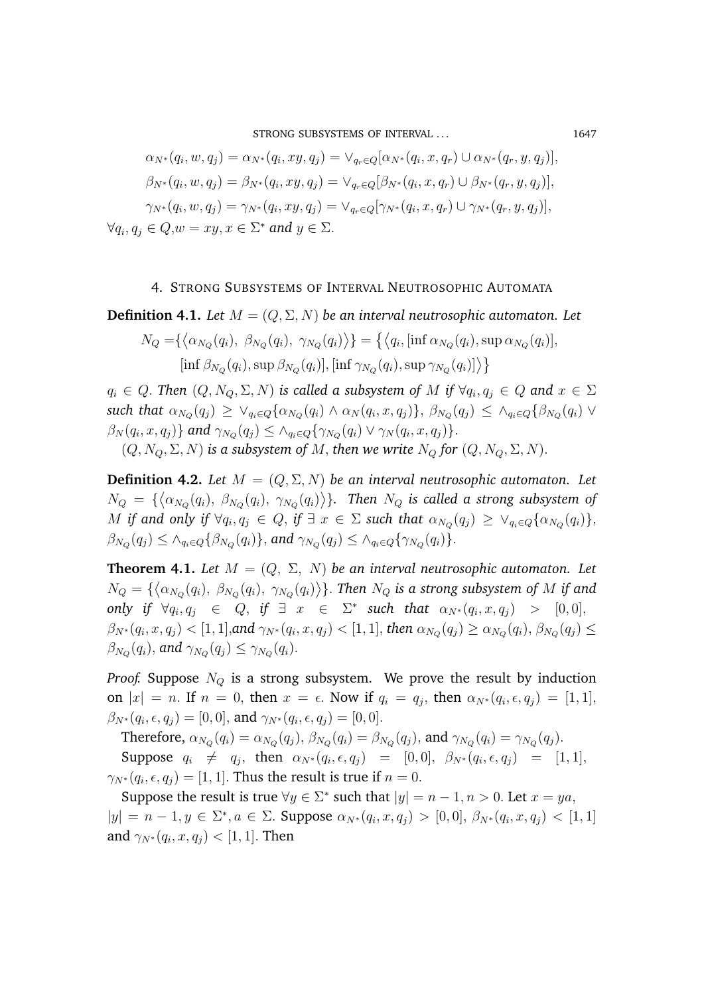STRONG SUBSYSTEMS OF INTERVAL ... 1647

$$
\alpha_{N^*}(q_i, w, q_j) = \alpha_{N^*}(q_i, xy, q_j) = \vee_{q_r \in Q} [\alpha_{N^*}(q_i, x, q_r) \cup \alpha_{N^*}(q_r, y, q_j)],
$$
  
\n
$$
\beta_{N^*}(q_i, w, q_j) = \beta_{N^*}(q_i, xy, q_j) = \vee_{q_r \in Q} [\beta_{N^*}(q_i, x, q_r) \cup \beta_{N^*}(q_r, y, q_j)],
$$
  
\n
$$
\gamma_{N^*}(q_i, w, q_j) = \gamma_{N^*}(q_i, xy, q_j) = \vee_{q_r \in Q} [\gamma_{N^*}(q_i, x, q_r) \cup \gamma_{N^*}(q_r, y, q_j)],
$$
  
\n
$$
\forall q_i, q_j \in Q, w = xy, x \in \Sigma^* \text{ and } y \in \Sigma.
$$

## 4. STRONG SUBSYSTEMS OF INTERVAL NEUTROSOPHIC AUTOMATA

**Definition 4.1.** *Let*  $M = (Q, \Sigma, N)$  *be an interval neutrosophic automaton. Let* 

$$
N_Q = \{ \langle \alpha_{N_Q}(q_i), \ \beta_{N_Q}(q_i), \ \gamma_{N_Q}(q_i) \rangle \} = \{ \langle q_i, [\inf \alpha_{N_Q}(q_i), \sup \alpha_{N_Q}(q_i)],
$$
  

$$
[\inf \beta_{N_Q}(q_i), \sup \beta_{N_Q}(q_i)], [\inf \gamma_{N_Q}(q_i), \sup \gamma_{N_Q}(q_i)] \rangle \}
$$

 $q_i\, \in\, Q.$  Then  $(Q, N_Q, \Sigma, N)$  is called a subsystem of  $M$  if  $\forall q_i, q_j\, \in\, Q$  and  $x\, \in\, \Sigma$  $\textit{such that} \,\, \alpha_{N_Q}(q_j) \,\geq\, \vee_{q_i \in Q} \{\alpha_{N_Q}(q_i) \wedge \alpha_N(q_i, x, q_j)\}, \,\, \beta_{N_Q}(q_j) \,\leq\, \wedge_{q_i \in Q} \{\beta_{N_Q}(q_i) \,\, \vee\,$  $\beta_N(q_i, x, q_j) \}$  and  $\gamma_{N_Q}(q_j) \leq \wedge_{q_i \in Q} \{\gamma_{N_Q}(q_i) \vee \gamma_N(q_i, x, q_j) \}.$ 

 $(Q, N_Q, \Sigma, N)$  *is a subsystem of* M, *then we write*  $N_Q$  *for*  $(Q, N_Q, \Sigma, N)$ .

**Definition 4.2.** Let  $M = (Q, \Sigma, N)$  be an interval neutrosophic automaton. Let  $N_Q\ =\ \{\left<\alpha_{N_Q}(q_i),\ \beta_{N_Q}(q_i),\ \gamma_{N_Q}(q_i)\right>\}\}.$  Then  $N_Q$  is called a strong subsystem of  $M$  if and only if  $\forall q_i, q_j \in Q,$  if  $\exists\; x\; \in\; \Sigma$  such that  $\alpha_{N_Q}(q_j)\; \geq\; \vee_{q_i\in Q}\{\alpha_{N_Q}(q_i)\},$  $\beta_{N_Q}(q_j) \leq \wedge_{q_i \in Q} \{\beta_{N_Q}(q_i)\},$  and  $\gamma_{N_Q}(q_j) \leq \wedge_{q_i \in Q} \{\gamma_{N_Q}(q_i)\}.$ 

**Theorem 4.1.** *Let*  $M = (Q, \Sigma, N)$  *be an interval neutrosophic automaton. Let*  $N_Q=\{\left<\alpha_{N_Q}(q_i),~\beta_{N_Q}(q_i),~\gamma_{N_Q}(q_i)\right>\}$ . Then  $N_Q$  is a strong subsystem of  $M$  if and  $\text{only if } \forall q_i, q_j \in Q, \text{ if } \exists x \in \Sigma^* \text{ such that } \alpha_{N^*}(q_i, x, q_j) > [0, 0],$  $\beta_{N^*}(q_i,x,q_j)<[1,1],$ and  $\gamma_{N^*}(q_i,x,q_j)<[1,1],$  then  $\alpha_{N_Q}(q_j)\geq\alpha_{N_Q}(q_i),$   $\beta_{N_Q}(q_j)\leq$  $\beta_{N_Q}(q_i)$ , and  $\gamma_{N_Q}(q_j) \leq \gamma_{N_Q}(q_i)$ .

*Proof.* Suppose  $N_Q$  is a strong subsystem. We prove the result by induction on  $|x| = n$ . If  $n = 0$ , then  $x = \epsilon$ . Now if  $q_i = q_j$ , then  $\alpha_{N^*}(q_i, \epsilon, q_j) = [1, 1]$ ,  $\beta_{N^*}(q_i, \epsilon, q_j) = [0, 0],$  and  $\gamma_{N^*}(q_i, \epsilon, q_j) = [0, 0].$ 

Therefore,  $\alpha_{N_Q}(q_i) = \alpha_{N_Q}(q_j)$ ,  $\beta_{N_Q}(q_i) = \beta_{N_Q}(q_j)$ , and  $\gamma_{N_Q}(q_i) = \gamma_{N_Q}(q_j)$ . Suppose  $q_i \neq q_j$ , then  $\alpha_{N^*}(q_i, \epsilon, q_j) = [0, 0], \beta_{N^*}(q_i, \epsilon, q_j) = [1, 1],$  $\gamma_{N^*}(q_i,\epsilon,q_j) = [1,1].$  Thus the result is true if  $n=0.$ 

Suppose the result is true  $\forall y \in \Sigma^*$  such that  $|y| = n - 1, n > 0$ . Let  $x = ya$ ,  $|y| = n - 1, y \in \Sigma^*, a \in \Sigma$ . Suppose  $\alpha_{N^*}(q_i, x, q_j) > [0, 0], \beta_{N^*}(q_i, x, q_j) < [1, 1]$ and  $\gamma_{N^*}(q_i,x,q_j)<[1,1].$  Then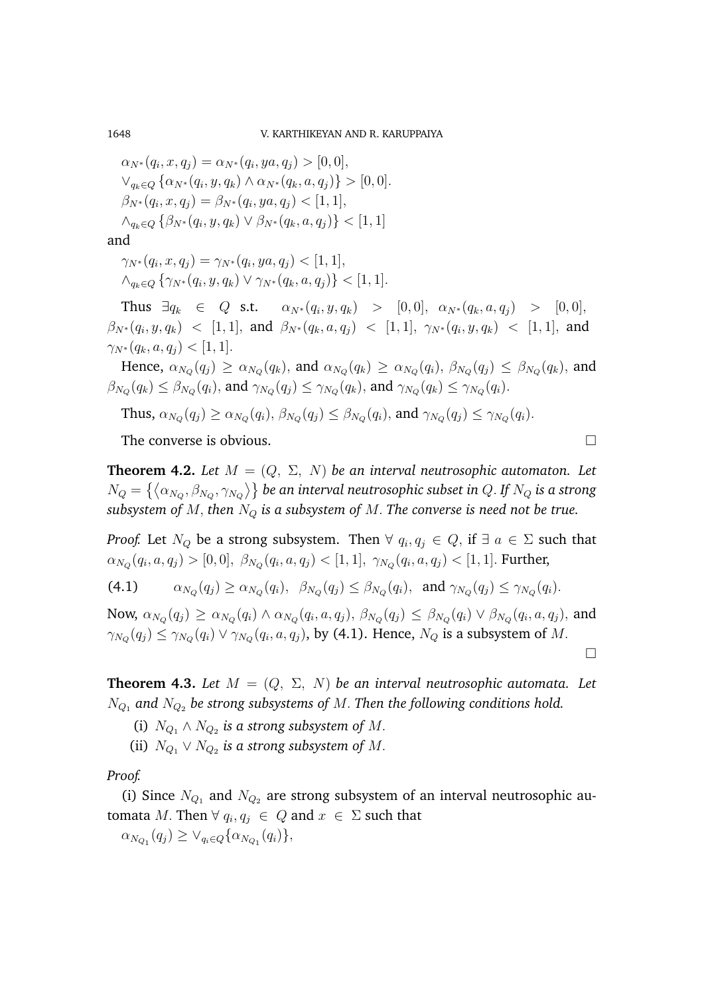1648 V. KARTHIKEYAN AND R. KARUPPAIYA

 $\alpha_{N^*}(q_i, x, q_j) = \alpha_{N^*}(q_i, ya, q_j) > [0, 0],$  $\vee_{q_k \in Q} \{ \alpha_{N^*}(q_i, y, q_k) \wedge \alpha_{N^*}(q_k, a, q_j) \} > [0, 0].$  $\beta_{N^*}(q_i, x, q_j) = \beta_{N^*}(q_i, ya, q_j) < [1, 1],$  $\wedge_{q_k \in Q} \{ \beta_{N^*}(q_i, y, q_k) \vee \beta_{N^*}(q_k, a, q_j) \} < [1, 1]$ 

and

 $\gamma_{N^*}(q_i, x, q_j) = \gamma_{N^*}(q_i, ya, q_j) < [1, 1],$  $\wedge_{q_k \in Q} \{ \gamma_{N^*}(q_i, y, q_k) \vee \gamma_{N^*}(q_k, a, q_j) \} < [1, 1].$ 

Thus  $\exists q_k \in Q$  s.t.  $\alpha_{N^*}(q_i,y,q_k) > [0,0], \alpha_{N^*}(q_k,a,q_j) > [0,0],$  $\beta_{N^*}(q_i,y,q_k)$   $\ < \ [1,1],$  and  $\beta_{N^*}(q_k,a,q_j)$   $\ < \ [1,1],$   $\gamma_{N^*}(q_i,y,q_k)$   $\ < \ [1,1],$  and  $\gamma_{N^*}(q_k, a, q_i) < [1, 1].$ 

Hence,  $\alpha_{N_Q}(q_j) \ge \alpha_{N_Q}(q_k)$ , and  $\alpha_{N_Q}(q_k) \ge \alpha_{N_Q}(q_i)$ ,  $\beta_{N_Q}(q_j) \le \beta_{N_Q}(q_k)$ , and  $\beta_{N_Q}(q_k) \leq \beta_{N_Q}(q_i),$  and  $\gamma_{N_Q}(q_j) \leq \gamma_{N_Q}(q_k),$  and  $\gamma_{N_Q}(q_k) \leq \gamma_{N_Q}(q_i).$ 

Thus,  $\alpha_{N_Q}(q_j) \ge \alpha_{N_Q}(q_i)$ ,  $\beta_{N_Q}(q_j) \le \beta_{N_Q}(q_i)$ , and  $\gamma_{N_Q}(q_j) \le \gamma_{N_Q}(q_i)$ .

The converse is obvious.

**Theorem 4.2.** Let  $M = (Q, \Sigma, N)$  be an interval neutrosophic automaton. Let  $N_Q=\left\{\left<\alpha_{N_Q},\beta_{N_Q},\gamma_{N_Q}\right>\right\}$  be an interval neutrosophic subset in  $Q.$  If  $N_Q$  is a strong *subsystem of*  $M$ , *then*  $N_Q$  *is a subsystem of*  $M$ . *The converse is need not be true.* 

*Proof.* Let  $N_Q$  be a strong subsystem. Then  $\forall$   $q_i, q_j \in Q,$  if  $\exists$   $a \in \Sigma$  such that  $\alpha_{N_Q}(q_i,a,q_j) > [0,0], \ \beta_{N_Q}(q_i,a,q_j) < [1,1], \ \gamma_{N_Q}(q_i,a,q_j) < [1,1].$  Further,

 $(4.1)$  $(q_j) \ge \alpha_{N_Q}(q_i), \ \ \beta_{N_Q}(q_j) \le \beta_{N_Q}(q_i), \ \text{ and } \gamma_{N_Q}(q_j) \le \gamma_{N_Q}(q_i).$ 

Now,  $\alpha_{N_Q}(q_j)\geq \alpha_{N_Q}(q_i)\wedge \alpha_{N_Q}(q_i,a,q_j),$   $\beta_{N_Q}(q_j)\leq \beta_{N_Q}(q_i)\vee \beta_{N_Q}(q_i,a,q_j),$  and  $\gamma_{N_Q}(q_j) \le \gamma_{N_Q}(q_i) \vee \gamma_{N_Q}(q_i,a,q_j)$ , by (4.1). Hence,  $N_Q$  is a subsystem of  $M$ .

 $\Box$ 

**Theorem 4.3.** Let  $M = (Q, \Sigma, N)$  be an interval neutrosophic automata. Let  $N_{Q_1}$  and  $N_{Q_2}$  be strong subsystems of M. Then the following conditions hold.

(i)  $N_{Q_1} \wedge N_{Q_2}$  is a strong subsystem of M.

(ii)  $N_{Q_1} \vee N_{Q_2}$  is a strong subsystem of M.

*Proof.*

(i) Since  $N_{Q_1}$  and  $N_{Q_2}$  are strong subsystem of an interval neutrosophic automata M. Then  $\forall q_i, q_j \in Q$  and  $x \in \Sigma$  such that

 $\alpha_{N_{Q_1}}(q_j) \geq \vee_{q_i \in Q} \{\alpha_{N_{Q_1}}(q_i)\},\$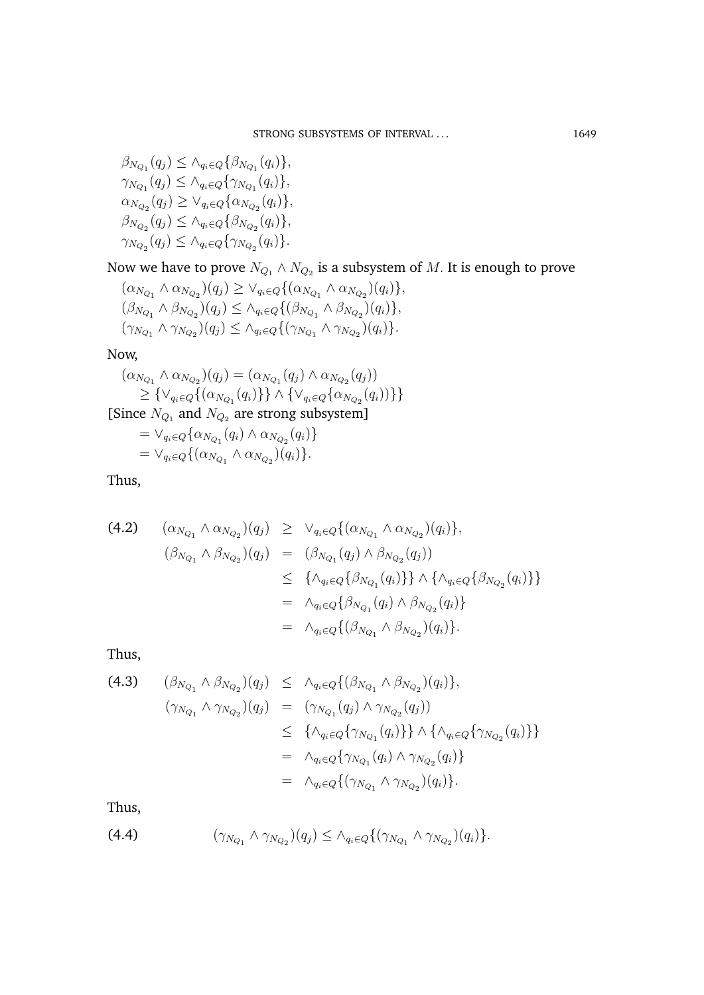$\beta_{N_{Q_1}}(q_j) \leq \wedge_{q_i \in Q} \{\beta_{N_{Q_1}}(q_i)\},\,$  $\gamma_{N_{Q_1}}(q_j) \leq \wedge_{q_i \in Q} \{\gamma_{N_{Q_1}}(q_i)\},\$  $\alpha_{N_{Q_2}}(q_j) \geq \vee_{q_i \in Q} \{\alpha_{N_{Q_2}}(q_i)\},\$  $\beta_{N_{Q_2}}(q_j) \leq \wedge_{q_i \in Q} \{\beta_{N_{Q_2}}(q_i)\},\,$  $\gamma_{N_{Q_2}}(q_j) \leq \wedge_{q_i \in Q} \{\gamma_{N_{Q_2}}(q_i)\}.$ 

Now we have to prove  $N_{Q_1} \wedge N_{Q_2}$  is a subsystem of  $M.$  It is enough to prove

$$
(\alpha_{N_{Q_1}} \wedge \alpha_{N_{Q_2}})(q_j) \geq \vee_{q_i \in Q} \{ (\alpha_{N_{Q_1}} \wedge \alpha_{N_{Q_2}})(q_i) \}, (\beta_{N_{Q_1}} \wedge \beta_{N_{Q_2}})(q_j) \leq \wedge_{q_i \in Q} \{ (\beta_{N_{Q_1}} \wedge \beta_{N_{Q_2}})(q_i) \}, (\gamma_{N_{Q_1}} \wedge \gamma_{N_{Q_2}})(q_j) \leq \wedge_{q_i \in Q} \{ (\gamma_{N_{Q_1}} \wedge \gamma_{N_{Q_2}})(q_i) \}.
$$

Now,

$$
(\alpha_{N_{Q_1}} \wedge \alpha_{N_{Q_2}})(q_j) = (\alpha_{N_{Q_1}}(q_j) \wedge \alpha_{N_{Q_2}}(q_j))
$$
  
\n
$$
\geq {\vee_{q_i \in Q} \{ (\alpha_{N_{Q_1}}(q_i)) \} } \wedge {\vee_{q_i \in Q} \{ \alpha_{N_{Q_2}}(q_i) \} }\}
$$
  
\n[Since  $N_{Q_1}$  and  $N_{Q_2}$  are strong subsystem]  
\n
$$
= \vee_{q_i \in Q} {\alpha_{N_{Q_1}}(q_i) \wedge \alpha_{N_{Q_2}}(q_i) }
$$
  
\n
$$
= \vee_{q_i \in Q} {\alpha_{N_{Q_1}} \wedge \alpha_{N_{Q_2}}(q_i) }.
$$

Thus,

(4.2) 
$$
(\alpha_{N_{Q_1}} \wedge \alpha_{N_{Q_2}})(q_j) \geq \vee_{q_i \in Q} \{ (\alpha_{N_{Q_1}} \wedge \alpha_{N_{Q_2}})(q_i) \},
$$

$$
(\beta_{N_{Q_1}} \wedge \beta_{N_{Q_2}})(q_j) = (\beta_{N_{Q_1}}(q_j) \wedge \beta_{N_{Q_2}}(q_j))
$$

$$
\leq \{\wedge_{q_i \in Q} \{\beta_{N_{Q_1}}(q_i)\}\} \wedge \{\wedge_{q_i \in Q} \{\beta_{N_{Q_2}}(q_i)\}\}
$$

$$
= \wedge_{q_i \in Q} \{\beta_{N_{Q_1}}(q_i) \wedge \beta_{N_{Q_2}}(q_i)\}
$$

$$
= \wedge_{q_i \in Q} \{ (\beta_{N_{Q_1}} \wedge \beta_{N_{Q_2}})(q_i) \}.
$$

Thus,

(4.3) 
$$
(\beta_{N_{Q_1}} \wedge \beta_{N_{Q_2}})(q_j) \leq \wedge_{q_i \in Q} \{ (\beta_{N_{Q_1}} \wedge \beta_{N_{Q_2}})(q_i) \}, \n(\gamma_{N_{Q_1}} \wedge \gamma_{N_{Q_2}})(q_j) = (\gamma_{N_{Q_1}}(q_j) \wedge \gamma_{N_{Q_2}}(q_j)) \n\leq \{ \wedge_{q_i \in Q} \{ \gamma_{N_{Q_1}}(q_i) \} \} \wedge \{ \wedge_{q_i \in Q} \{ \gamma_{N_{Q_2}}(q_i) \} \} \n= \wedge_{q_i \in Q} \{ \gamma_{N_{Q_1}}(q_i) \wedge \gamma_{N_{Q_2}}(q_i) \} \n= \wedge_{q_i \in Q} \{ (\gamma_{N_{Q_1}} \wedge \gamma_{N_{Q_2}})(q_i) \}.
$$

Thus,

(4.4) 
$$
(\gamma_{N_{Q_1}} \wedge \gamma_{N_{Q_2}})(q_j) \leq \wedge_{q_i \in Q} \{ (\gamma_{N_{Q_1}} \wedge \gamma_{N_{Q_2}})(q_i) \}.
$$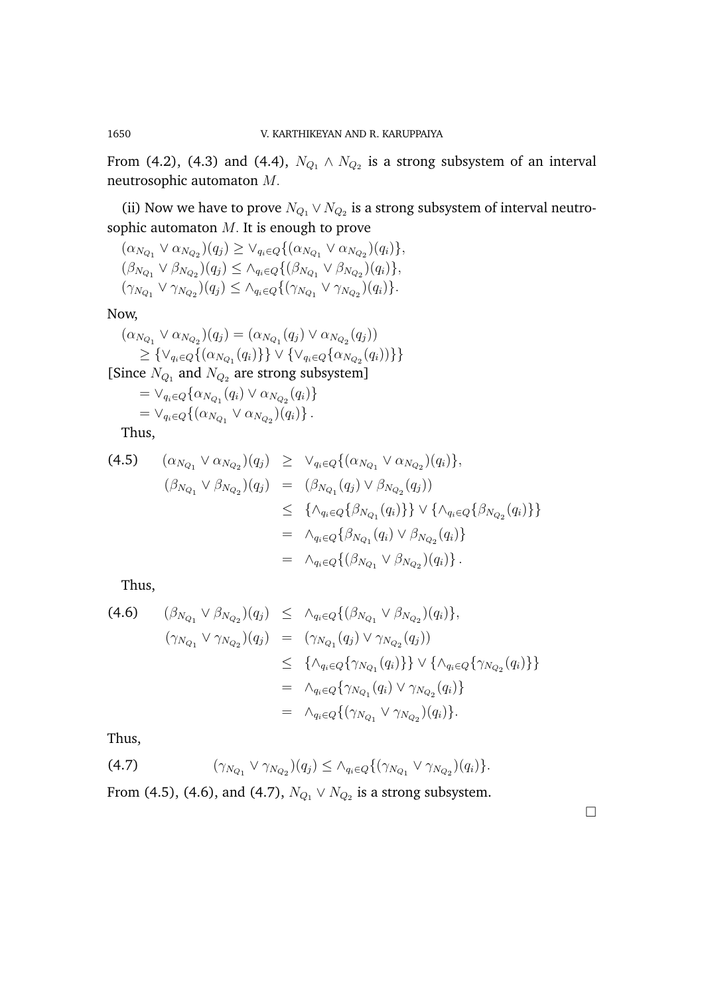From (4.2), (4.3) and (4.4),  $N_{Q_1} \wedge N_{Q_2}$  is a strong subsystem of an interval neutrosophic automaton M.

(ii) Now we have to prove  $N_{Q_1} \vee N_{Q_2}$  is a strong subsystem of interval neutrosophic automaton  $M$ . It is enough to prove

$$
(\alpha_{N_{Q_1}} \vee \alpha_{N_{Q_2}})(q_j) \geq \vee_{q_i \in Q} \{ (\alpha_{N_{Q_1}} \vee \alpha_{N_{Q_2}})(q_i) \}, (\beta_{N_{Q_1}} \vee \beta_{N_{Q_2}})(q_j) \leq \wedge_{q_i \in Q} \{ (\beta_{N_{Q_1}} \vee \beta_{N_{Q_2}})(q_i) \}, (\gamma_{N_{Q_1}} \vee \gamma_{N_{Q_2}})(q_j) \leq \wedge_{q_i \in Q} \{ (\gamma_{N_{Q_1}} \vee \gamma_{N_{Q_2}})(q_i) \}.
$$

Now,

$$
(\alpha_{N_{Q_1}} \vee \alpha_{N_{Q_2}})(q_j) = (\alpha_{N_{Q_1}}(q_j) \vee \alpha_{N_{Q_2}}(q_j))
$$
  
\n
$$
\geq {\vee_{q_i \in Q} \{ (\alpha_{N_{Q_1}}(q_i)) \} \vee {\vee_{q_i \in Q} \{ \alpha_{N_{Q_2}}(q_i) \} } }
$$
  
\n[Since  $N_{Q_1}$  and  $N_{Q_2}$  are strong subsystem]  
\n
$$
= \vee_{q_i \in Q} {\alpha_{N_{Q_1}}(q_i) \vee \alpha_{N_{Q_2}}(q_i) }
$$
  
\n
$$
= \vee_{q_i \in Q} {\alpha_{N_{Q_1}} \vee \alpha_{N_{Q_2}}(q_i) }.
$$
  
\nThus,

(4.5) 
$$
(\alpha_{N_{Q_1}} \vee \alpha_{N_{Q_2}})(q_j) \geq \vee_{q_i \in Q} \{ (\alpha_{N_{Q_1}} \vee \alpha_{N_{Q_2}})(q_i) \}, (\beta_{N_{Q_1}} \vee \beta_{N_{Q_2}})(q_j) = (\beta_{N_{Q_1}}(q_j) \vee \beta_{N_{Q_2}}(q_j)) \leq \{ \wedge_{q_i \in Q} \{ \beta_{N_{Q_1}}(q_i) \} \} \vee \{ \wedge_{q_i \in Q} \{ \beta_{N_{Q_2}}(q_i) \} \} = \wedge_{q_i \in Q} \{ \beta_{N_{Q_1}}(q_i) \vee \beta_{N_{Q_2}}(q_i) \} = \wedge_{q_i \in Q} \{ (\beta_{N_{Q_1}} \vee \beta_{N_{Q_2}})(q_i) \}.
$$

Thus,

(4.6) 
$$
(\beta_{N_{Q_1}} \vee \beta_{N_{Q_2}})(q_j) \leq \wedge_{q_i \in Q} \{ (\beta_{N_{Q_1}} \vee \beta_{N_{Q_2}})(q_i) \}, \n(\gamma_{N_{Q_1}} \vee \gamma_{N_{Q_2}})(q_j) = (\gamma_{N_{Q_1}}(q_j) \vee \gamma_{N_{Q_2}}(q_j)) \n\leq \{\wedge_{q_i \in Q} \{ \gamma_{N_{Q_1}}(q_i) \} \} \vee \{\wedge_{q_i \in Q} \{ \gamma_{N_{Q_2}}(q_i) \} \} \n= \wedge_{q_i \in Q} \{ \gamma_{N_{Q_1}}(q_i) \vee \gamma_{N_{Q_2}}(q_i) \} \n= \wedge_{q_i \in Q} \{ (\gamma_{N_{Q_1}} \vee \gamma_{N_{Q_2}})(q_i) \}.
$$

Thus,

(4.7) 
$$
(\gamma_{N_{Q_1}} \vee \gamma_{N_{Q_2}})(q_j) \leq \wedge_{q_i \in Q} \{ (\gamma_{N_{Q_1}} \vee \gamma_{N_{Q_2}})(q_i) \}.
$$

From (4.5), (4.6), and (4.7),  $N_{Q_1} \vee N_{Q_2}$  is a strong subsystem.

 $\Box$